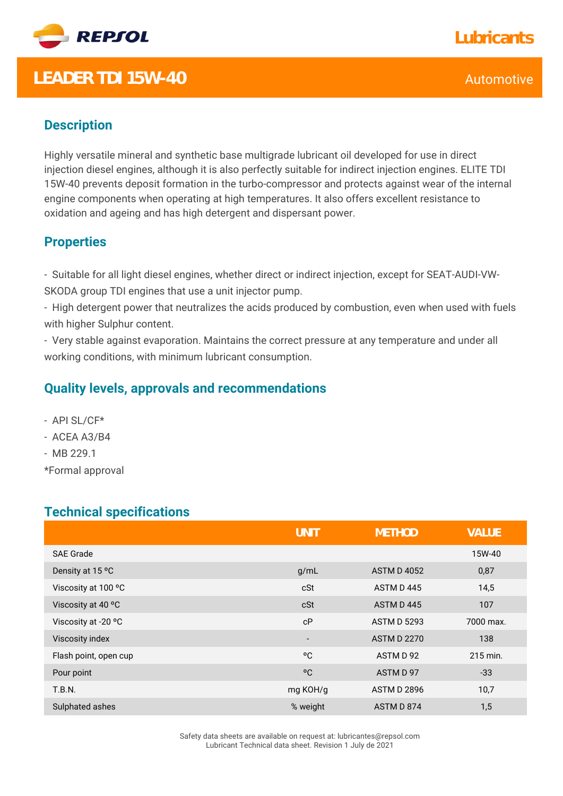

## **LEADER TDI 15W-40** Automotive CONSERVERS And THE CONSERVERS ALL THE CONSERVERS AND ALL THE CONSERVERS AND ALL THE CONSERVERS AND ALL THE CONSERVERS AND ALL THE CONSERVERS AND ALL THE CONSERVERS AND ALL THE CONSERVERS AND

### **Description**

Highly versatile mineral and synthetic base multigrade lubricant oil developed for use in direct injection diesel engines, although it is also perfectly suitable for indirect injection engines. ELITE TDI 15W-40 prevents deposit formation in the turbo-compressor and protects against wear of the internal engine components when operating at high temperatures. It also offers excellent resistance to oxidation and ageing and has high detergent and dispersant power.

#### **Properties**

- Suitable for all light diesel engines, whether direct or indirect injection, except for SEAT-AUDI-VW-SKODA group TDI engines that use a unit injector pump.

- High detergent power that neutralizes the acids produced by combustion, even when used with fuels with higher Sulphur content.

- Very stable against evaporation. Maintains the correct pressure at any temperature and under all working conditions, with minimum lubricant consumption.

#### **Quality levels, approvals and recommendations**

- API SL/CF\*
- ACEA A3/B4
- MB 229.1
- \*Formal approval

#### **Technical specifications**

|                       | <b>UNIT</b>              | <b>METHOD</b>      | <b>VALUE</b> |
|-----------------------|--------------------------|--------------------|--------------|
| <b>SAE Grade</b>      |                          |                    | 15W-40       |
| Density at 15 °C      | g/mL                     | <b>ASTM D 4052</b> | 0,87         |
| Viscosity at 100 °C   | cSt                      | ASTM D445          | 14,5         |
| Viscosity at 40 °C    | cSt                      | ASTM D445          | 107          |
| Viscosity at -20 °C   | cP                       | <b>ASTM D 5293</b> | 7000 max.    |
| Viscosity index       | $\overline{\phantom{a}}$ | <b>ASTM D 2270</b> | 138          |
| Flash point, open cup | °C                       | ASTM D 92          | 215 min.     |
| Pour point            | °C                       | ASTM D 97          | $-33$        |
| <b>T.B.N.</b>         | mg KOH/g                 | <b>ASTM D 2896</b> | 10,7         |
| Sulphated ashes       | % weight                 | ASTM D 874         | 1,5          |

Safety data sheets are available on request at: lubricantes@repsol.com Lubricant Technical data sheet. Revision 1 July de 2021